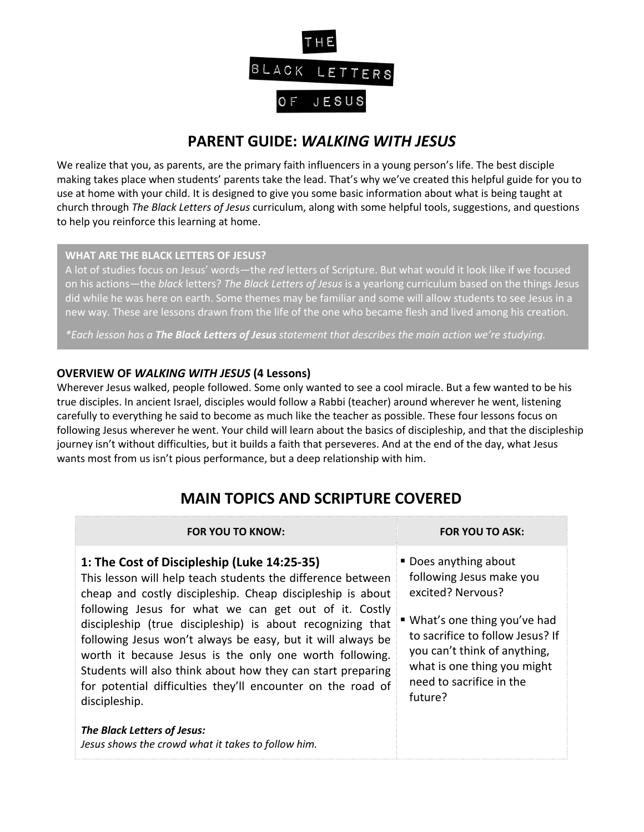

## **PARENT GUIDE:** *WALKING WITH JESUS*

We realize that you, as parents, are the primary faith influencers in a young person's life. The best disciple making takes place when students' parents take the lead. That's why we've created this helpful guide for you to use at home with your child. It is designed to give you some basic information about what is being taught at church through *The Black Letters of Jesus* curriculum, along with some helpful tools, suggestions, and questions to help you reinforce this learning at home.

#### **WHAT ARE THE BLACK LETTERS OF JESUS?**

A lot of studies focus on Jesus' words—the *red* letters of Scripture. But what would it look like if we focused on his actions—the *black* letters? *The Black Letters of Jesus* is a yearlong curriculum based on the things Jesus did while he was here on earth. Some themes may be familiar and some will allow students to see Jesus in a new way. These are lessons drawn from the life of the one who became flesh and lived among his creation.

*\*Each lesson has a The Black Letters of Jesus statement that describes the main action we're studying.*

### **OVERVIEW OF** *WALKING WITH JESUS* **(4 Lessons)**

Wherever Jesus walked, people followed. Some only wanted to see a cool miracle. But a few wanted to be his true disciples. In ancient Israel, disciples would follow a Rabbi (teacher) around wherever he went, listening carefully to everything he said to become as much like the teacher as possible. These four lessons focus on following Jesus wherever he went. Your child will learn about the basics of discipleship, and that the discipleship journey isn't without difficulties, but it builds a faith that perseveres. And at the end of the day, what Jesus wants most from us isn't pious performance, but a deep relationship with him.

# **MAIN TOPICS AND SCRIPTURE COVERED**

#### **FOR YOU TO KNOW: FOR YOU TO ASK:**

### **1: The Cost of Discipleship (Luke 14:25-35)**

This lesson will help teach students the difference between cheap and costly discipleship. Cheap discipleship is about following Jesus for what we can get out of it. Costly discipleship (true discipleship) is about recognizing that following Jesus won't always be easy, but it will always be worth it because Jesus is the only one worth following. Students will also think about how they can start preparing for potential difficulties they'll encounter on the road of discipleship.

*The Black Letters of Jesus: Jesus shows the crowd what it takes to follow him.*

- Does anything about following Jesus make you excited? Nervous?
- What's one thing you've had to sacrifice to follow Jesus? If you can't think of anything, what is one thing you might need to sacrifice in the future?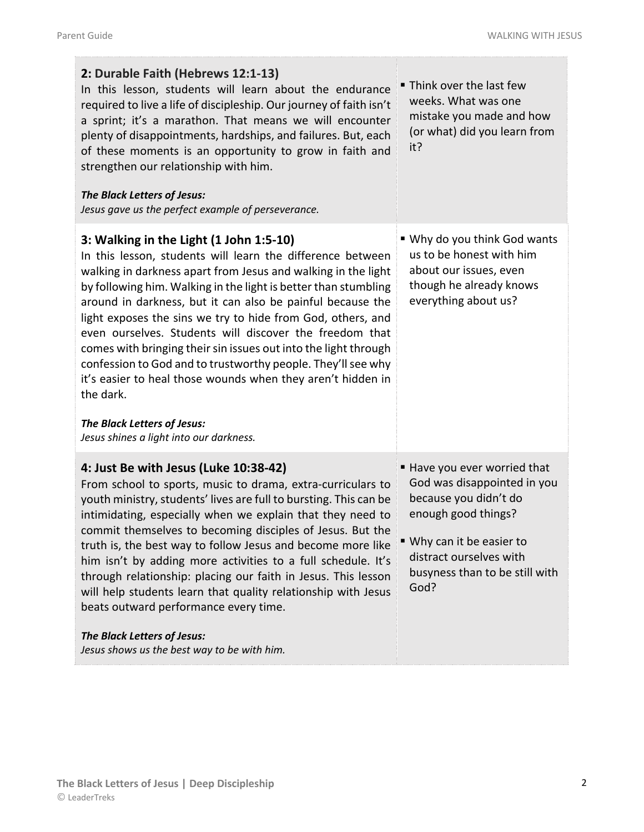| 2: Durable Faith (Hebrews 12:1-13)<br>In this lesson, students will learn about the endurance<br>required to live a life of discipleship. Our journey of faith isn't<br>a sprint; it's a marathon. That means we will encounter<br>plenty of disappointments, hardships, and failures. But, each<br>of these moments is an opportunity to grow in faith and<br>strengthen our relationship with him.<br>The Black Letters of Jesus:<br>Jesus gave us the perfect example of perseverance.                                                                                                                                                                                                                                  | " Think over the last few<br>weeks. What was one<br>mistake you made and how<br>(or what) did you learn from<br>it?                                                                                         |
|----------------------------------------------------------------------------------------------------------------------------------------------------------------------------------------------------------------------------------------------------------------------------------------------------------------------------------------------------------------------------------------------------------------------------------------------------------------------------------------------------------------------------------------------------------------------------------------------------------------------------------------------------------------------------------------------------------------------------|-------------------------------------------------------------------------------------------------------------------------------------------------------------------------------------------------------------|
| 3: Walking in the Light (1 John 1:5-10)<br>In this lesson, students will learn the difference between<br>walking in darkness apart from Jesus and walking in the light<br>by following him. Walking in the light is better than stumbling<br>around in darkness, but it can also be painful because the<br>light exposes the sins we try to hide from God, others, and<br>even ourselves. Students will discover the freedom that<br>comes with bringing their sin issues out into the light through<br>confession to God and to trustworthy people. They'll see why<br>it's easier to heal those wounds when they aren't hidden in<br>the dark.<br>The Black Letters of Jesus:<br>Jesus shines a light into our darkness. | ■ Why do you think God wants<br>us to be honest with him<br>about our issues, even<br>though he already knows<br>everything about us?                                                                       |
| 4: Just Be with Jesus (Luke 10:38-42)<br>From school to sports, music to drama, extra-curriculars to<br>youth ministry, students' lives are full to bursting. This can be<br>intimidating, especially when we explain that they need to<br>commit themselves to becoming disciples of Jesus. But the<br>truth is, the best way to follow Jesus and become more like<br>him isn't by adding more activities to a full schedule. It's<br>through relationship: placing our faith in Jesus. This lesson<br>will help students learn that quality relationship with Jesus<br>beats outward performance every time.<br>The Black Letters of Jesus:<br>Jesus shows us the best way to be with him.                               | Have you ever worried that<br>God was disappointed in you<br>because you didn't do<br>enough good things?<br>■ Why can it be easier to<br>distract ourselves with<br>busyness than to be still with<br>God? |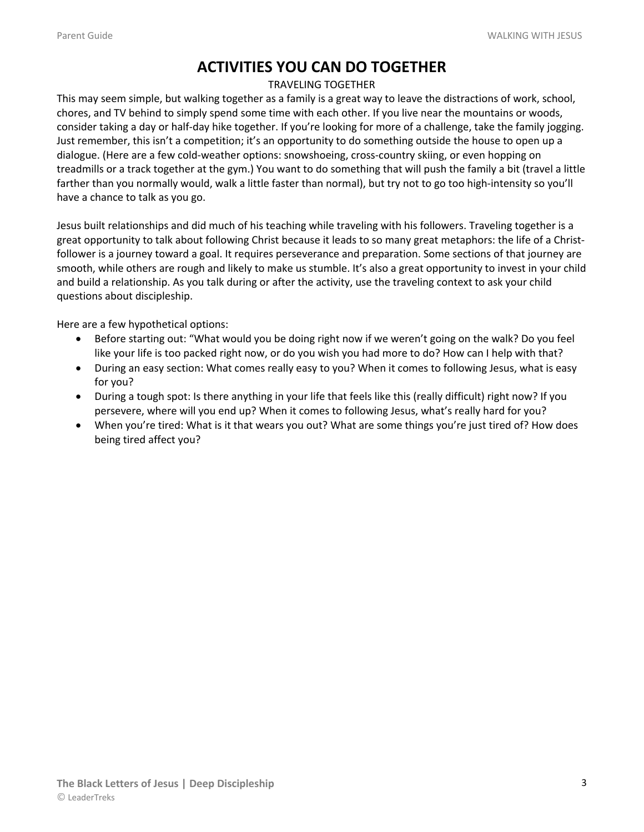## **ACTIVITIES YOU CAN DO TOGETHER**

#### TRAVELING TOGETHER

This may seem simple, but walking together as a family is a great way to leave the distractions of work, school, chores, and TV behind to simply spend some time with each other. If you live near the mountains or woods, consider taking a day or half-day hike together. If you're looking for more of a challenge, take the family jogging. Just remember, this isn't a competition; it's an opportunity to do something outside the house to open up a dialogue. (Here are a few cold-weather options: snowshoeing, cross-country skiing, or even hopping on treadmills or a track together at the gym.) You want to do something that will push the family a bit (travel a little farther than you normally would, walk a little faster than normal), but try not to go too high-intensity so you'll have a chance to talk as you go.

Jesus built relationships and did much of his teaching while traveling with his followers. Traveling together is a great opportunity to talk about following Christ because it leads to so many great metaphors: the life of a Christfollower is a journey toward a goal. It requires perseverance and preparation. Some sections of that journey are smooth, while others are rough and likely to make us stumble. It's also a great opportunity to invest in your child and build a relationship. As you talk during or after the activity, use the traveling context to ask your child questions about discipleship.

Here are a few hypothetical options:

- Before starting out: "What would you be doing right now if we weren't going on the walk? Do you feel like your life is too packed right now, or do you wish you had more to do? How can I help with that?
- During an easy section: What comes really easy to you? When it comes to following Jesus, what is easy for you?
- During a tough spot: Is there anything in your life that feels like this (really difficult) right now? If you persevere, where will you end up? When it comes to following Jesus, what's really hard for you?
- When you're tired: What is it that wears you out? What are some things you're just tired of? How does being tired affect you?